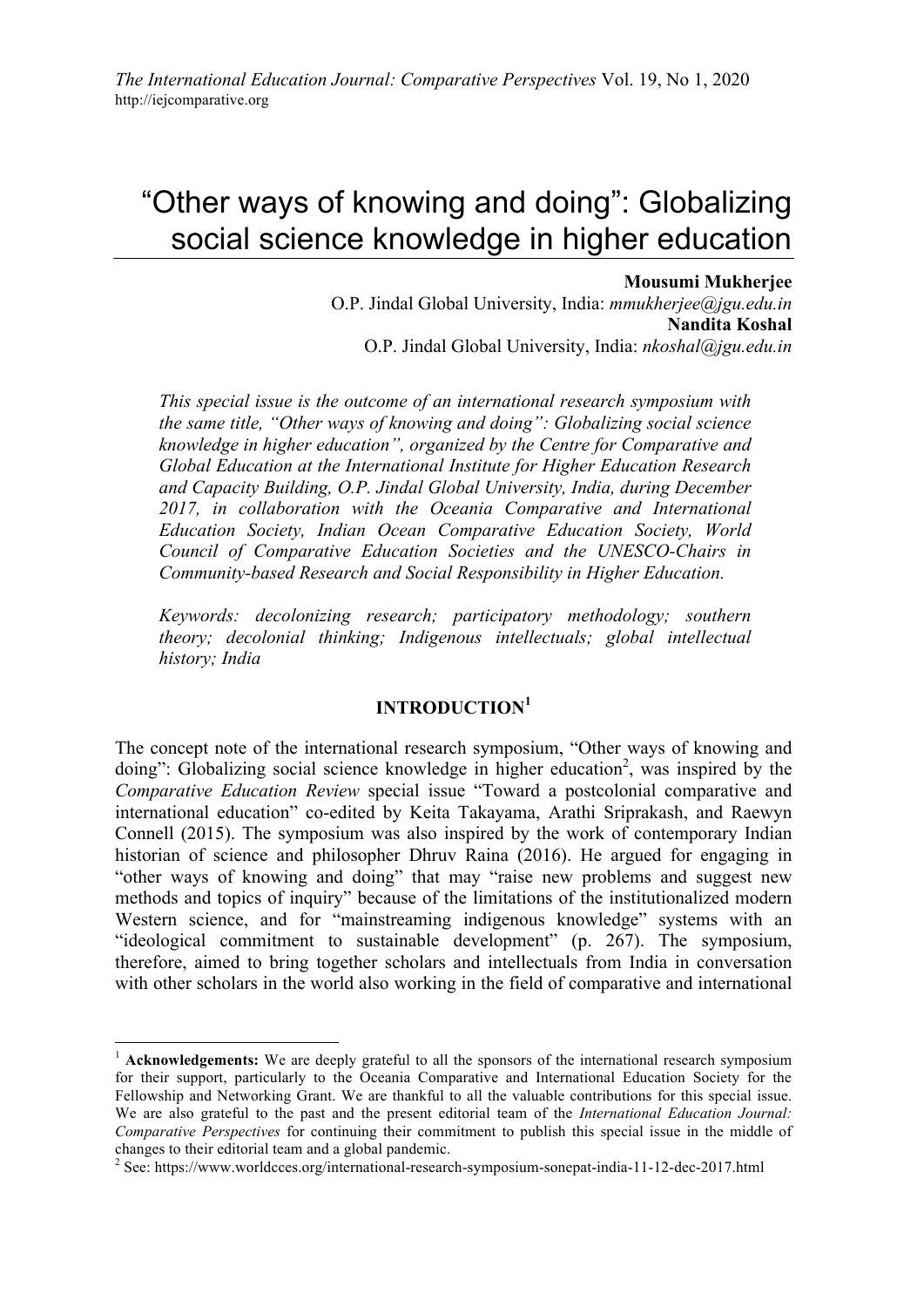# "Other ways of knowing and doing": Globalizing social science knowledge in higher education

#### **Mousumi Mukherjee**

O.P. Jindal Global University, India: *mmukherjee@jgu.edu.in* **Nandita Koshal** O.P. Jindal Global University, India: *nkoshal@jgu.edu.in*

*This special issue is the outcome of an international research symposium with the same title, "Other ways of knowing and doing": Globalizing social science knowledge in higher education", organized by the Centre for Comparative and Global Education at the International Institute for Higher Education Research and Capacity Building, O.P. Jindal Global University, India, during December 2017, in collaboration with the Oceania Comparative and International Education Society, Indian Ocean Comparative Education Society, World Council of Comparative Education Societies and the UNESCO-Chairs in Community-based Research and Social Responsibility in Higher Education.*

*Keywords: decolonizing research; participatory methodology; southern theory; decolonial thinking; Indigenous intellectuals; global intellectual history; India*

### **INTRODUCTION<sup>1</sup>**

The concept note of the international research symposium, "Other ways of knowing and doing": Globalizing social science knowledge in higher education<sup>2</sup>, was inspired by the *Comparative Education Review* special issue "Toward a postcolonial comparative and international education" co-edited by Keita Takayama, Arathi Sriprakash, and Raewyn Connell (2015). The symposium was also inspired by the work of contemporary Indian historian of science and philosopher Dhruv Raina (2016). He argued for engaging in "other ways of knowing and doing" that may "raise new problems and suggest new methods and topics of inquiry" because of the limitations of the institutionalized modern Western science, and for "mainstreaming indigenous knowledge" systems with an "ideological commitment to sustainable development" (p. 267). The symposium, therefore, aimed to bring together scholars and intellectuals from India in conversation with other scholars in the world also working in the field of comparative and international

<sup>&</sup>lt;sup>1</sup> **Acknowledgements:** We are deeply grateful to all the sponsors of the international research symposium for their support, particularly to the Oceania Comparative and International Education Society for the Fellowship and Networking Grant. We are thankful to all the valuable contributions for this special issue. We are also grateful to the past and the present editorial team of the *International Education Journal: Comparative Perspectives* for continuing their commitment to publish this special issue in the middle of changes to their editorial team and a global pandemic.

<sup>&</sup>lt;sup>2</sup> See: https://www.worldcces.org/international-research-symposium-sonepat-india-11-12-dec-2017.html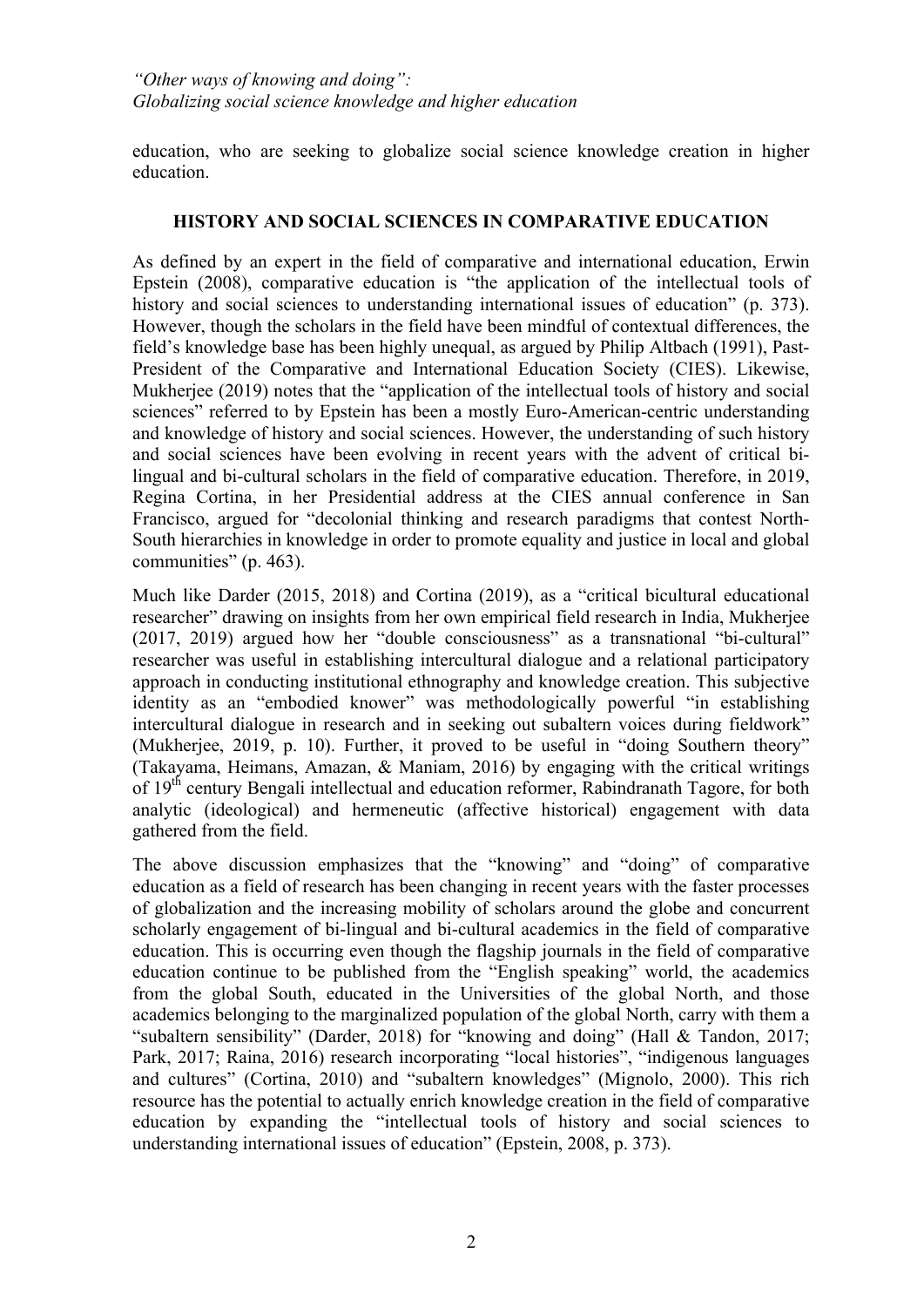education, who are seeking to globalize social science knowledge creation in higher education.

#### **HISTORY AND SOCIAL SCIENCES IN COMPARATIVE EDUCATION**

As defined by an expert in the field of comparative and international education, Erwin Epstein (2008), comparative education is "the application of the intellectual tools of history and social sciences to understanding international issues of education" (p. 373). However, though the scholars in the field have been mindful of contextual differences, the field's knowledge base has been highly unequal, as argued by Philip Altbach (1991), Past-President of the Comparative and International Education Society (CIES). Likewise, Mukherjee (2019) notes that the "application of the intellectual tools of history and social sciences" referred to by Epstein has been a mostly Euro-American-centric understanding and knowledge of history and social sciences. However, the understanding of such history and social sciences have been evolving in recent years with the advent of critical bilingual and bi-cultural scholars in the field of comparative education. Therefore, in 2019, Regina Cortina, in her Presidential address at the CIES annual conference in San Francisco, argued for "decolonial thinking and research paradigms that contest North-South hierarchies in knowledge in order to promote equality and justice in local and global communities" (p. 463).

Much like Darder (2015, 2018) and Cortina (2019), as a "critical bicultural educational researcher" drawing on insights from her own empirical field research in India, Mukherjee (2017, 2019) argued how her "double consciousness" as a transnational "bi-cultural" researcher was useful in establishing intercultural dialogue and a relational participatory approach in conducting institutional ethnography and knowledge creation. This subjective identity as an "embodied knower" was methodologically powerful "in establishing intercultural dialogue in research and in seeking out subaltern voices during fieldwork" (Mukherjee, 2019, p. 10). Further, it proved to be useful in "doing Southern theory" (Takayama, Heimans, Amazan, & Maniam, 2016) by engaging with the critical writings of 19<sup>th</sup> century Bengali intellectual and education reformer, Rabindranath Tagore, for both analytic (ideological) and hermeneutic (affective historical) engagement with data gathered from the field.

The above discussion emphasizes that the "knowing" and "doing" of comparative education as a field of research has been changing in recent years with the faster processes of globalization and the increasing mobility of scholars around the globe and concurrent scholarly engagement of bi-lingual and bi-cultural academics in the field of comparative education. This is occurring even though the flagship journals in the field of comparative education continue to be published from the "English speaking" world, the academics from the global South, educated in the Universities of the global North, and those academics belonging to the marginalized population of the global North, carry with them a "subaltern sensibility" (Darder, 2018) for "knowing and doing" (Hall & Tandon, 2017; Park, 2017; Raina, 2016) research incorporating "local histories", "indigenous languages and cultures" (Cortina, 2010) and "subaltern knowledges" (Mignolo, 2000). This rich resource has the potential to actually enrich knowledge creation in the field of comparative education by expanding the "intellectual tools of history and social sciences to understanding international issues of education" (Epstein, 2008, p. 373).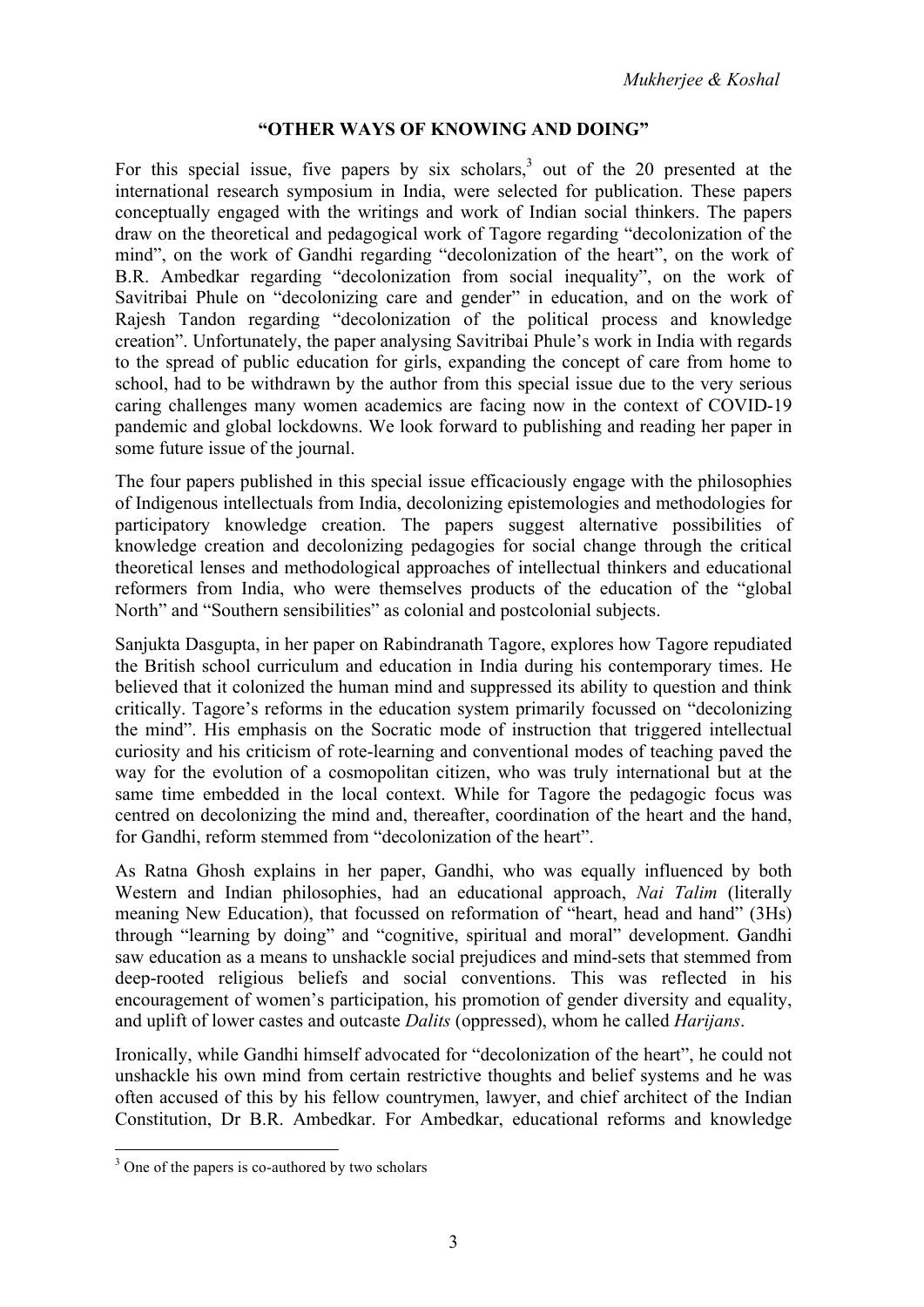## **"OTHER WAYS OF KNOWING AND DOING"**

For this special issue, five papers by six scholars,<sup>3</sup> out of the 20 presented at the international research symposium in India, were selected for publication. These papers conceptually engaged with the writings and work of Indian social thinkers. The papers draw on the theoretical and pedagogical work of Tagore regarding "decolonization of the mind", on the work of Gandhi regarding "decolonization of the heart", on the work of B.R. Ambedkar regarding "decolonization from social inequality", on the work of Savitribai Phule on "decolonizing care and gender" in education, and on the work of Rajesh Tandon regarding "decolonization of the political process and knowledge creation". Unfortunately, the paper analysing Savitribai Phule's work in India with regards to the spread of public education for girls, expanding the concept of care from home to school, had to be withdrawn by the author from this special issue due to the very serious caring challenges many women academics are facing now in the context of COVID-19 pandemic and global lockdowns. We look forward to publishing and reading her paper in some future issue of the journal.

The four papers published in this special issue efficaciously engage with the philosophies of Indigenous intellectuals from India, decolonizing epistemologies and methodologies for participatory knowledge creation. The papers suggest alternative possibilities of knowledge creation and decolonizing pedagogies for social change through the critical theoretical lenses and methodological approaches of intellectual thinkers and educational reformers from India, who were themselves products of the education of the "global North" and "Southern sensibilities" as colonial and postcolonial subjects.

Sanjukta Dasgupta, in her paper on Rabindranath Tagore, explores how Tagore repudiated the British school curriculum and education in India during his contemporary times. He believed that it colonized the human mind and suppressed its ability to question and think critically. Tagore's reforms in the education system primarily focussed on "decolonizing the mind". His emphasis on the Socratic mode of instruction that triggered intellectual curiosity and his criticism of rote-learning and conventional modes of teaching paved the way for the evolution of a cosmopolitan citizen, who was truly international but at the same time embedded in the local context. While for Tagore the pedagogic focus was centred on decolonizing the mind and, thereafter, coordination of the heart and the hand, for Gandhi, reform stemmed from "decolonization of the heart".

As Ratna Ghosh explains in her paper, Gandhi, who was equally influenced by both Western and Indian philosophies, had an educational approach, *Nai Talim* (literally meaning New Education), that focussed on reformation of "heart, head and hand" (3Hs) through "learning by doing" and "cognitive, spiritual and moral" development. Gandhi saw education as a means to unshackle social prejudices and mind-sets that stemmed from deep-rooted religious beliefs and social conventions. This was reflected in his encouragement of women's participation, his promotion of gender diversity and equality, and uplift of lower castes and outcaste *Dalits* (oppressed), whom he called *Harijans*.

Ironically, while Gandhi himself advocated for "decolonization of the heart", he could not unshackle his own mind from certain restrictive thoughts and belief systems and he was often accused of this by his fellow countrymen, lawyer, and chief architect of the Indian Constitution, Dr B.R. Ambedkar. For Ambedkar, educational reforms and knowledge

<sup>&</sup>lt;sup>3</sup> One of the papers is co-authored by two scholars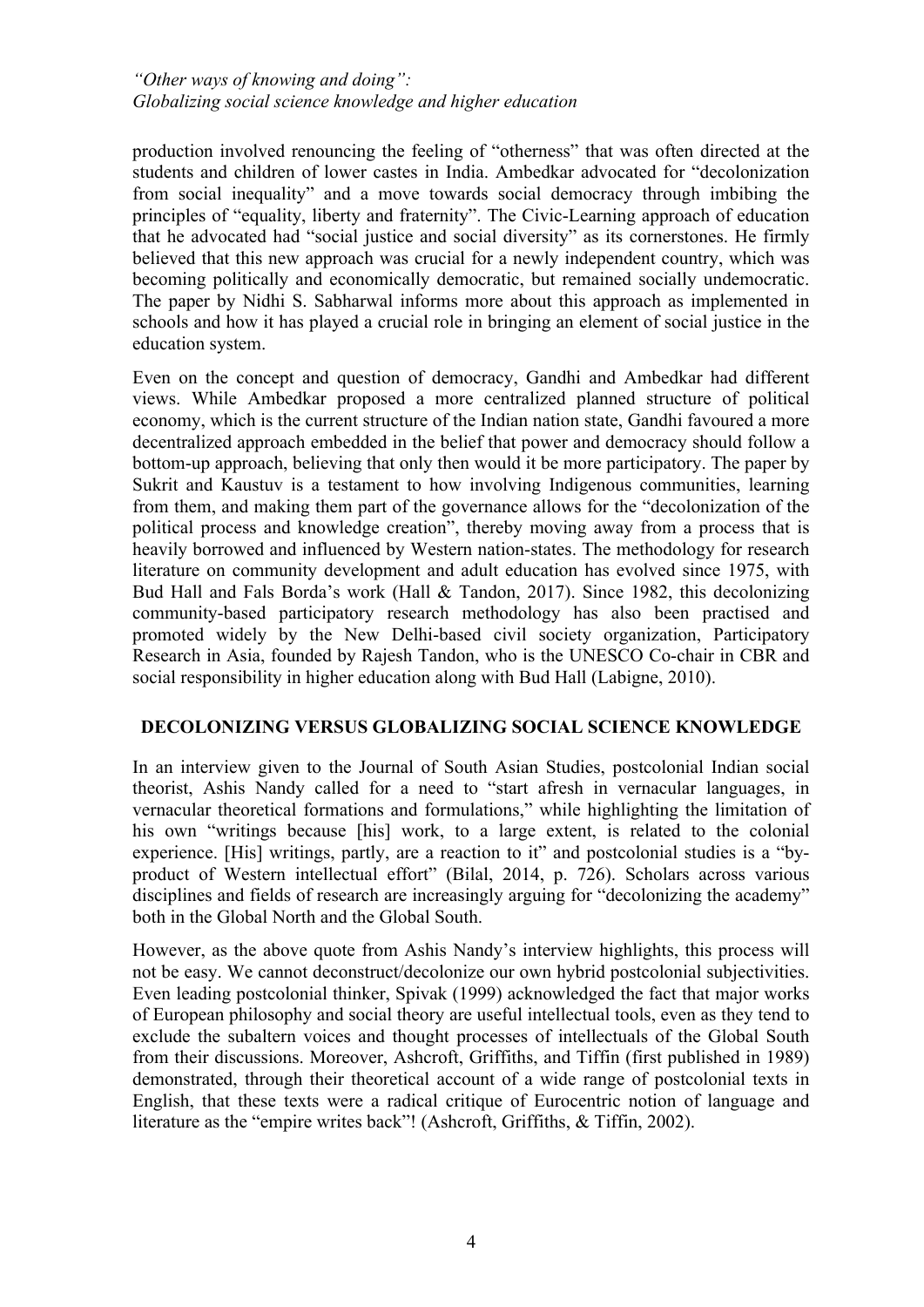### *"Other ways of knowing and doing": Globalizing social science knowledge and higher education*

production involved renouncing the feeling of "otherness" that was often directed at the students and children of lower castes in India. Ambedkar advocated for "decolonization from social inequality" and a move towards social democracy through imbibing the principles of "equality, liberty and fraternity". The Civic-Learning approach of education that he advocated had "social justice and social diversity" as its cornerstones. He firmly believed that this new approach was crucial for a newly independent country, which was becoming politically and economically democratic, but remained socially undemocratic. The paper by Nidhi S. Sabharwal informs more about this approach as implemented in schools and how it has played a crucial role in bringing an element of social justice in the education system.

Even on the concept and question of democracy, Gandhi and Ambedkar had different views. While Ambedkar proposed a more centralized planned structure of political economy, which is the current structure of the Indian nation state, Gandhi favoured a more decentralized approach embedded in the belief that power and democracy should follow a bottom-up approach, believing that only then would it be more participatory. The paper by Sukrit and Kaustuv is a testament to how involving Indigenous communities, learning from them, and making them part of the governance allows for the "decolonization of the political process and knowledge creation", thereby moving away from a process that is heavily borrowed and influenced by Western nation-states. The methodology for research literature on community development and adult education has evolved since 1975, with Bud Hall and Fals Borda's work (Hall & Tandon, 2017). Since 1982, this decolonizing community-based participatory research methodology has also been practised and promoted widely by the New Delhi-based civil society organization, Participatory Research in Asia, founded by Rajesh Tandon, who is the UNESCO Co-chair in CBR and social responsibility in higher education along with Bud Hall (Labigne, 2010).

## **DECOLONIZING VERSUS GLOBALIZING SOCIAL SCIENCE KNOWLEDGE**

In an interview given to the Journal of South Asian Studies, postcolonial Indian social theorist, Ashis Nandy called for a need to "start afresh in vernacular languages, in vernacular theoretical formations and formulations," while highlighting the limitation of his own "writings because [his] work, to a large extent, is related to the colonial experience. [His] writings, partly, are a reaction to it" and postcolonial studies is a "byproduct of Western intellectual effort" (Bilal, 2014, p. 726). Scholars across various disciplines and fields of research are increasingly arguing for "decolonizing the academy" both in the Global North and the Global South.

However, as the above quote from Ashis Nandy's interview highlights, this process will not be easy. We cannot deconstruct/decolonize our own hybrid postcolonial subjectivities. Even leading postcolonial thinker, Spivak (1999) acknowledged the fact that major works of European philosophy and social theory are useful intellectual tools, even as they tend to exclude the subaltern voices and thought processes of intellectuals of the Global South from their discussions. Moreover, Ashcroft, Griffiths, and Tiffin (first published in 1989) demonstrated, through their theoretical account of a wide range of postcolonial texts in English, that these texts were a radical critique of Eurocentric notion of language and literature as the "empire writes back"! (Ashcroft, Griffiths, & Tiffin, 2002).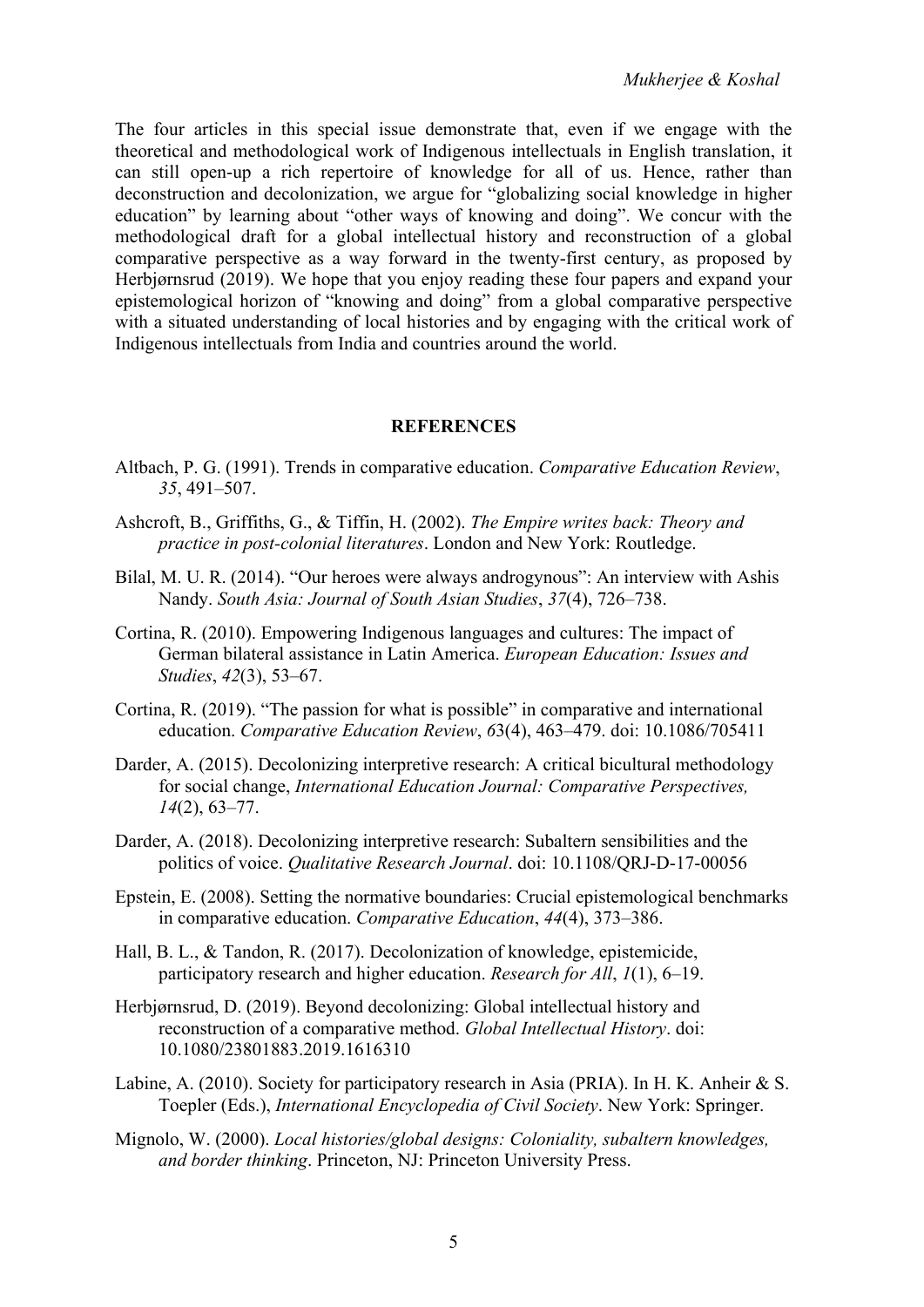The four articles in this special issue demonstrate that, even if we engage with the theoretical and methodological work of Indigenous intellectuals in English translation, it can still open-up a rich repertoire of knowledge for all of us. Hence, rather than deconstruction and decolonization, we argue for "globalizing social knowledge in higher education" by learning about "other ways of knowing and doing". We concur with the methodological draft for a global intellectual history and reconstruction of a global comparative perspective as a way forward in the twenty-first century, as proposed by Herbjørnsrud (2019). We hope that you enjoy reading these four papers and expand your epistemological horizon of "knowing and doing" from a global comparative perspective with a situated understanding of local histories and by engaging with the critical work of Indigenous intellectuals from India and countries around the world.

#### **REFERENCES**

- Altbach, P. G. (1991). Trends in comparative education. *Comparative Education Review*, *35*, 491–507.
- Ashcroft, B., Griffiths, G., & Tiffin, H. (2002). *The Empire writes back: Theory and practice in post-colonial literatures*. London and New York: Routledge.
- Bilal, M. U. R. (2014). "Our heroes were always androgynous": An interview with Ashis Nandy. *South Asia: Journal of South Asian Studies*, *37*(4), 726–738.
- Cortina, R. (2010). Empowering Indigenous languages and cultures: The impact of German bilateral assistance in Latin America. *European Education: Issues and Studies*, *42*(3), 53–67.
- Cortina, R. (2019). "The passion for what is possible" in comparative and international education. *Comparative Education Review*, *6*3(4), 463–479. doi: 10.1086/705411
- Darder, A. (2015). Decolonizing interpretive research: A critical bicultural methodology for social change, *International Education Journal: Comparative Perspectives, 14*(2), 63–77.
- Darder, A. (2018). Decolonizing interpretive research: Subaltern sensibilities and the politics of voice. *Qualitative Research Journal*. doi: 10.1108/QRJ-D-17-00056
- Epstein, E. (2008). Setting the normative boundaries: Crucial epistemological benchmarks in comparative education. *Comparative Education*, *44*(4), 373–386.
- Hall, B. L., & Tandon, R. (2017). Decolonization of knowledge, epistemicide, participatory research and higher education. *Research for All*, *1*(1), 6–19.
- Herbjørnsrud, D. (2019). Beyond decolonizing: Global intellectual history and reconstruction of a comparative method. *Global Intellectual History*. doi: 10.1080/23801883.2019.1616310
- Labine, A. (2010). Society for participatory research in Asia (PRIA). In H. K. Anheir & S. Toepler (Eds.), *International Encyclopedia of Civil Society*. New York: Springer.
- Mignolo, W. (2000). *Local histories/global designs: Coloniality, subaltern knowledges, and border thinking*. Princeton, NJ: Princeton University Press.